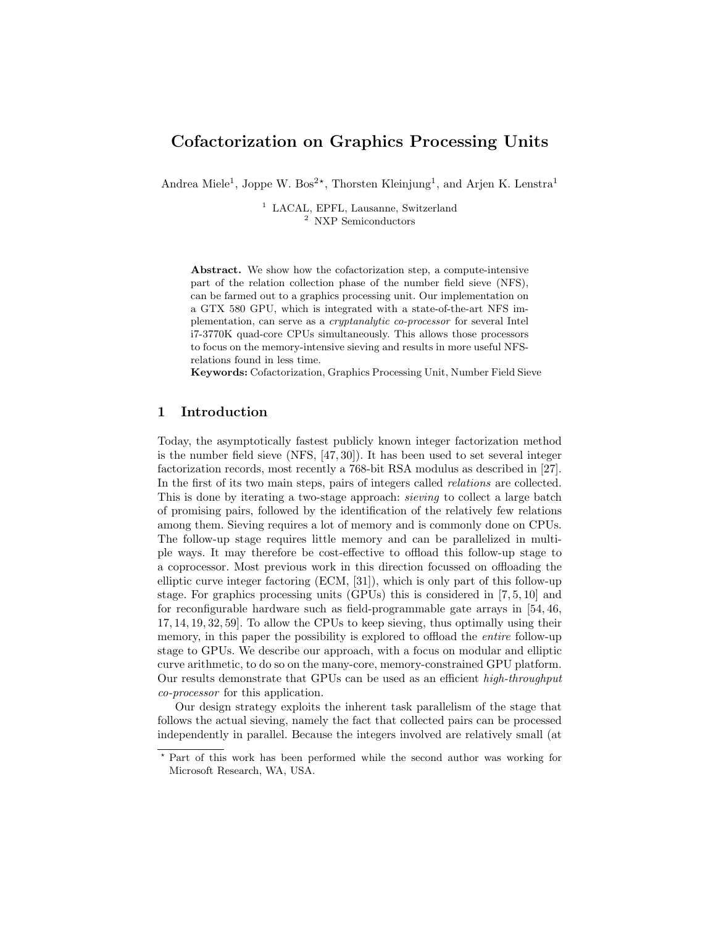# Cofactorization on Graphics Processing Units

Andrea Miele<sup>1</sup>, Joppe W. Bos<sup>2\*</sup>, Thorsten Kleinjung<sup>1</sup>, and Arjen K. Lenstra<sup>1</sup>

<sup>1</sup> LACAL, EPFL, Lausanne, Switzerland <sup>2</sup> NXP Semiconductors

Abstract. We show how the cofactorization step, a compute-intensive part of the relation collection phase of the number field sieve (NFS), can be farmed out to a graphics processing unit. Our implementation on a GTX 580 GPU, which is integrated with a state-of-the-art NFS implementation, can serve as a cryptanalytic co-processor for several Intel i7-3770K quad-core CPUs simultaneously. This allows those processors to focus on the memory-intensive sieving and results in more useful NFSrelations found in less time.

Keywords: Cofactorization, Graphics Processing Unit, Number Field Sieve

## 1 Introduction

Today, the asymptotically fastest publicly known integer factorization method is the number field sieve (NFS, [47, 30]). It has been used to set several integer factorization records, most recently a 768-bit RSA modulus as described in [27]. In the first of its two main steps, pairs of integers called relations are collected. This is done by iterating a two-stage approach: sieving to collect a large batch of promising pairs, followed by the identification of the relatively few relations among them. Sieving requires a lot of memory and is commonly done on CPUs. The follow-up stage requires little memory and can be parallelized in multiple ways. It may therefore be cost-effective to offload this follow-up stage to a coprocessor. Most previous work in this direction focussed on offloading the elliptic curve integer factoring (ECM, [31]), which is only part of this follow-up stage. For graphics processing units (GPUs) this is considered in [7, 5, 10] and for reconfigurable hardware such as field-programmable gate arrays in [54, 46, 17, 14, 19, 32, 59]. To allow the CPUs to keep sieving, thus optimally using their memory, in this paper the possibility is explored to offload the entire follow-up stage to GPUs. We describe our approach, with a focus on modular and elliptic curve arithmetic, to do so on the many-core, memory-constrained GPU platform. Our results demonstrate that GPUs can be used as an efficient high-throughput co-processor for this application.

Our design strategy exploits the inherent task parallelism of the stage that follows the actual sieving, namely the fact that collected pairs can be processed independently in parallel. Because the integers involved are relatively small (at

<sup>?</sup> Part of this work has been performed while the second author was working for Microsoft Research, WA, USA.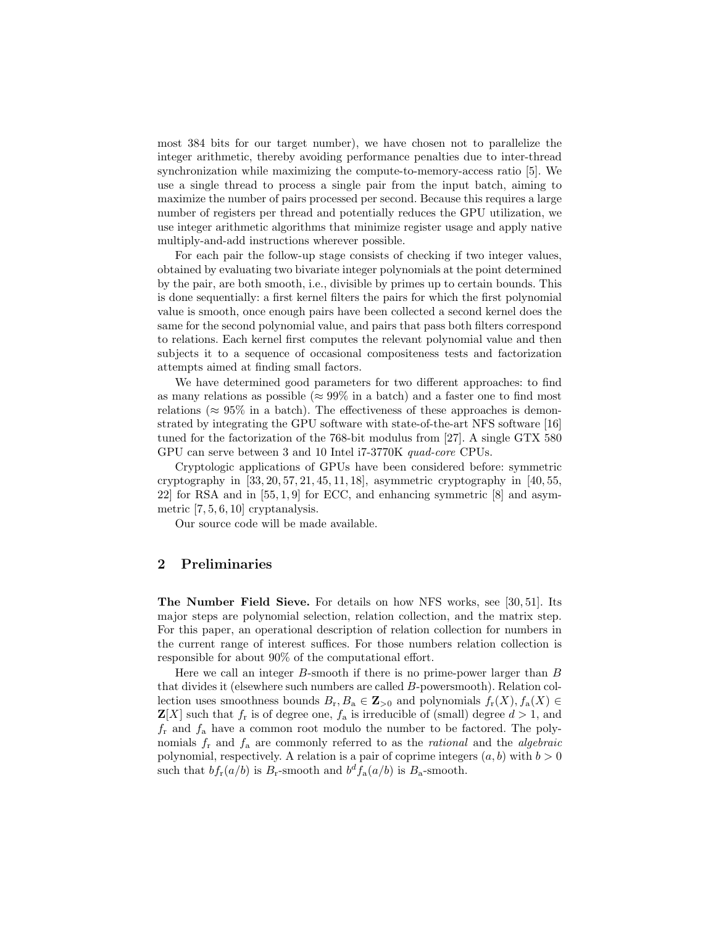most 384 bits for our target number), we have chosen not to parallelize the integer arithmetic, thereby avoiding performance penalties due to inter-thread synchronization while maximizing the compute-to-memory-access ratio [5]. We use a single thread to process a single pair from the input batch, aiming to maximize the number of pairs processed per second. Because this requires a large number of registers per thread and potentially reduces the GPU utilization, we use integer arithmetic algorithms that minimize register usage and apply native multiply-and-add instructions wherever possible.

For each pair the follow-up stage consists of checking if two integer values, obtained by evaluating two bivariate integer polynomials at the point determined by the pair, are both smooth, i.e., divisible by primes up to certain bounds. This is done sequentially: a first kernel filters the pairs for which the first polynomial value is smooth, once enough pairs have been collected a second kernel does the same for the second polynomial value, and pairs that pass both filters correspond to relations. Each kernel first computes the relevant polynomial value and then subjects it to a sequence of occasional compositeness tests and factorization attempts aimed at finding small factors.

We have determined good parameters for two different approaches: to find as many relations as possible ( $\approx 99\%$  in a batch) and a faster one to find most relations ( $\approx 95\%$  in a batch). The effectiveness of these approaches is demonstrated by integrating the GPU software with state-of-the-art NFS software [16] tuned for the factorization of the 768-bit modulus from [27]. A single GTX 580 GPU can serve between 3 and 10 Intel i7-3770K quad-core CPUs.

Cryptologic applications of GPUs have been considered before: symmetric cryptography in  $[33, 20, 57, 21, 45, 11, 18]$ , asymmetric cryptography in  $[40, 55,$ 22] for RSA and in [55, 1, 9] for ECC, and enhancing symmetric [8] and asymmetric [7, 5, 6, 10] cryptanalysis.

Our source code will be made available.

## 2 Preliminaries

The Number Field Sieve. For details on how NFS works, see [30, 51]. Its major steps are polynomial selection, relation collection, and the matrix step. For this paper, an operational description of relation collection for numbers in the current range of interest suffices. For those numbers relation collection is responsible for about 90% of the computational effort.

Here we call an integer B-smooth if there is no prime-power larger than B that divides it (elsewhere such numbers are called B-powersmooth). Relation collection uses smoothness bounds  $B_r, B_a \in \mathbb{Z}_{>0}$  and polynomials  $f_r(X), f_a(X) \in$  $\mathbf{Z}[X]$  such that  $f_r$  is of degree one,  $f_a$  is irreducible of (small) degree  $d > 1$ , and  $f<sub>r</sub>$  and  $f<sub>a</sub>$  have a common root modulo the number to be factored. The polynomials  $f_r$  and  $f_a$  are commonly referred to as the *rational* and the *algebraic* polynomial, respectively. A relation is a pair of coprime integers  $(a, b)$  with  $b > 0$ such that  $bf_r(a/b)$  is  $B_r$ -smooth and  $b^d f_a(a/b)$  is  $B_a$ -smooth.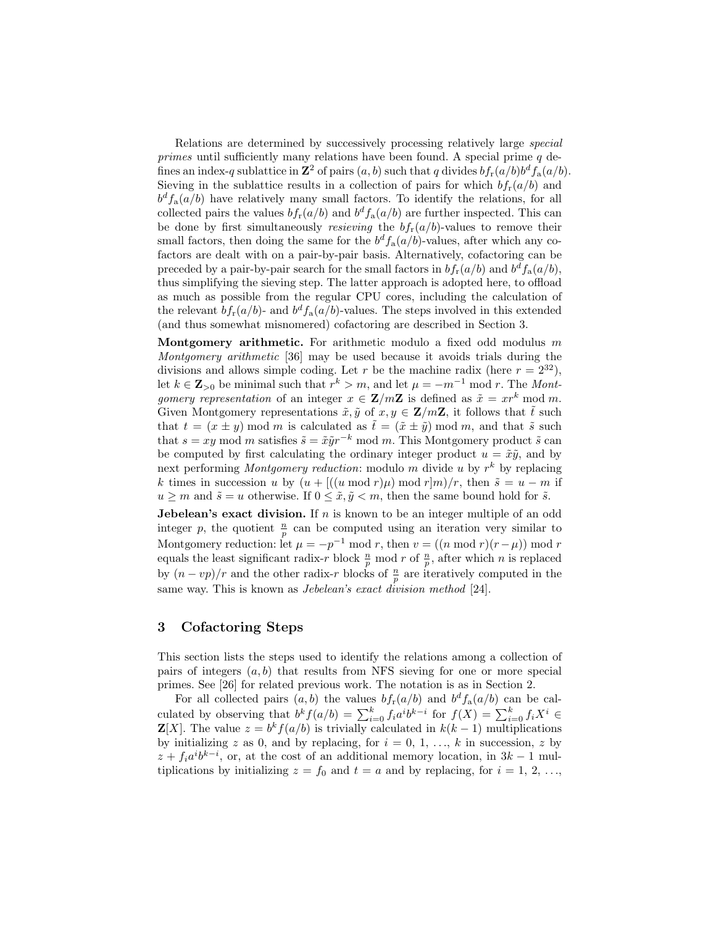Relations are determined by successively processing relatively large special primes until sufficiently many relations have been found. A special prime  $q$  defines an index-q sublattice in  $\mathbb{Z}^2$  of pairs  $(a, b)$  such that q divides  $bf_r(a/b)b^d f_a(a/b)$ . Sieving in the sublattice results in a collection of pairs for which  $bf_r(a/b)$  and  $b<sup>d</sup> f<sub>a</sub>(a/b)$  have relatively many small factors. To identify the relations, for all collected pairs the values  $bf_r(a/b)$  and  $b^d f_a(a/b)$  are further inspected. This can be done by first simultaneously *resieving* the  $bf_r(a/b)$ -values to remove their small factors, then doing the same for the  $b<sup>d</sup> f_a(a/b)$ -values, after which any cofactors are dealt with on a pair-by-pair basis. Alternatively, cofactoring can be preceded by a pair-by-pair search for the small factors in  $bf_r(a/b)$  and  $b^d f_a(a/b)$ , thus simplifying the sieving step. The latter approach is adopted here, to offload as much as possible from the regular CPU cores, including the calculation of the relevant  $bf_r(a/b)$ - and  $b^d f_a(a/b)$ -values. The steps involved in this extended (and thus somewhat misnomered) cofactoring are described in Section 3.

**Montgomery arithmetic.** For arithmetic modulo a fixed odd modulus  $m$ Montgomery arithmetic [36] may be used because it avoids trials during the divisions and allows simple coding. Let r be the machine radix (here  $r = 2^{32}$ ), let  $k \in \mathbb{Z}_{>0}$  be minimal such that  $r^k > m$ , and let  $\mu = -m^{-1} \mod r$ . The Montgomery representation of an integer  $x \in \mathbf{Z}/m\mathbf{Z}$  is defined as  $\tilde{x} = xr^k \mod m$ . Given Montgomery representations  $\tilde{x}, \tilde{y}$  of  $x, y \in \mathbf{Z}/m\mathbf{Z}$ , it follows that  $\tilde{t}$  such that  $t = (x \pm y) \mod m$  is calculated as  $\tilde{t} = (\tilde{x} \pm \tilde{y}) \mod m$ , and that  $\tilde{s}$  such that  $s = xy \mod m$  satisfies  $\tilde{s} = \tilde{x}\tilde{y}r^{-k} \mod m$ . This Montgomery product  $\tilde{s}$  can be computed by first calculating the ordinary integer product  $u = \tilde{x}\tilde{y}$ , and by next performing *Montgomery reduction*: modulo m divide u by  $r^k$  by replacing k times in succession u by  $(u + [((u \mod r)\mu) \mod r]m)/r$ , then  $\tilde{s} = u - m$  if  $u \geq m$  and  $\tilde{s} = u$  otherwise. If  $0 \leq \tilde{x}, \tilde{y} < m$ , then the same bound hold for  $\tilde{s}$ .

**Jebelean's exact division.** If  $n$  is known to be an integer multiple of an odd integer p, the quotient  $\frac{n}{p}$  can be computed using an iteration very similar to Montgomery reduction: let  $\mu = -p^{-1} \mod r$ , then  $v = ((n \mod r)(r - \mu)) \mod r$ equals the least significant radix-r block  $\frac{n}{p}$  mod r of  $\frac{n}{p}$ , after which n is replaced by  $(n - vp)/r$  and the other radix-r blocks of  $\frac{n}{p}$  are iteratively computed in the same way. This is known as Jebelean's exact division method [24].

## 3 Cofactoring Steps

This section lists the steps used to identify the relations among a collection of pairs of integers  $(a, b)$  that results from NFS sieving for one or more special primes. See [26] for related previous work. The notation is as in Section 2.

For all collected pairs  $(a, b)$  the values  $bf_r(a/b)$  and  $b^d f_a(a/b)$  can be calculated by observing that  $b^k f(a/b) = \sum_{i=0}^k f_i a^i b^{k-i}$  for  $f(X) = \sum_{i=0}^k f_i X^i$ **Z**[X]. The value  $z = b^k f(a/b)$  is trivially calculated in  $k(k-1)$  multiplications by initializing z as 0, and by replacing, for  $i = 0, 1, \ldots, k$  in succession, z by  $z + f_i a^i b^{k-i}$ , or, at the cost of an additional memory location, in  $3k-1$  multiplications by initializing  $z = f_0$  and  $t = a$  and by replacing, for  $i = 1, 2, ...,$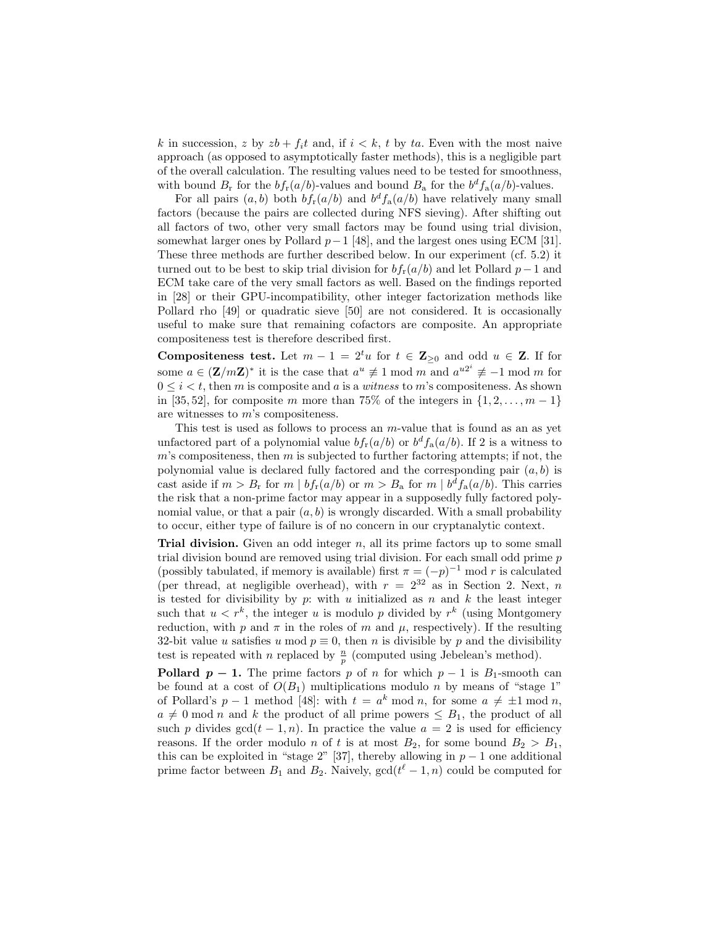k in succession, z by  $zb + f_it$  and, if  $i < k$ , t by ta. Even with the most naive approach (as opposed to asymptotically faster methods), this is a negligible part of the overall calculation. The resulting values need to be tested for smoothness, with bound  $B_r$  for the  $bf_r(a/b)$ -values and bound  $B_a$  for the  $b^d f_a(a/b)$ -values.

For all pairs  $(a, b)$  both  $bf_r(a/b)$  and  $b^d f_a(a/b)$  have relatively many small factors (because the pairs are collected during NFS sieving). After shifting out all factors of two, other very small factors may be found using trial division, somewhat larger ones by Pollard  $p-1$  [48], and the largest ones using ECM [31]. These three methods are further described below. In our experiment (cf. 5.2) it turned out to be best to skip trial division for  $bf_r(a/b)$  and let Pollard p − 1 and ECM take care of the very small factors as well. Based on the findings reported in [28] or their GPU-incompatibility, other integer factorization methods like Pollard rho [49] or quadratic sieve [50] are not considered. It is occasionally useful to make sure that remaining cofactors are composite. An appropriate compositeness test is therefore described first.

Compositeness test. Let  $m - 1 = 2^t u$  for  $t \in \mathbb{Z}_{\geq 0}$  and odd  $u \in \mathbb{Z}$ . If for some  $a \in (\mathbf{Z}/m\mathbf{Z})^*$  it is the case that  $a^u \not\equiv 1 \bmod m$  and  $a^{u2^i} \not\equiv -1 \bmod m$  for  $0 \leq i < t$ , then m is composite and a is a witness to m's compositeness. As shown in [35, 52], for composite m more than 75% of the integers in  $\{1, 2, \ldots, m-1\}$ are witnesses to m's compositeness.

This test is used as follows to process an m-value that is found as an as yet unfactored part of a polynomial value  $bf_r(a/b)$  or  $b^d f_a(a/b)$ . If 2 is a witness to  $m$ 's compositeness, then  $m$  is subjected to further factoring attempts; if not, the polynomial value is declared fully factored and the corresponding pair  $(a, b)$  is cast aside if  $m > B_r$  for  $m \mid bf_r(a/b)$  or  $m > B_a$  for  $m \mid b^d f_a(a/b)$ . This carries the risk that a non-prime factor may appear in a supposedly fully factored polynomial value, or that a pair  $(a, b)$  is wrongly discarded. With a small probability to occur, either type of failure is of no concern in our cryptanalytic context.

**Trial division.** Given an odd integer  $n$ , all its prime factors up to some small trial division bound are removed using trial division. For each small odd prime p (possibly tabulated, if memory is available) first  $\pi = (-p)^{-1} \mod r$  is calculated (per thread, at negligible overhead), with  $r = 2^{32}$  as in Section 2. Next, n is tested for divisibility by  $p$ : with  $u$  initialized as  $n$  and  $k$  the least integer such that  $u < r^k$ , the integer u is modulo p divided by  $r^k$  (using Montgomery reduction, with p and  $\pi$  in the roles of m and  $\mu$ , respectively). If the resulting 32-bit value u satisfies u mod  $p \equiv 0$ , then n is divisible by p and the divisibility test is repeated with *n* replaced by  $\frac{n}{p}$  (computed using Jebelean's method).

**Pollard p − 1.** The prime factors p of n for which  $p-1$  is  $B_1$ -smooth can be found at a cost of  $O(B_1)$  multiplications modulo n by means of "stage 1" of Pollard's  $p-1$  method [48]: with  $t = a^k \mod n$ , for some  $a \neq \pm 1 \mod n$ ,  $a \neq 0 \mod n$  and k the product of all prime powers  $\leq B_1$ , the product of all such p divides  $gcd(t - 1, n)$ . In practice the value  $a = 2$  is used for efficiency reasons. If the order modulo *n* of *t* is at most  $B_2$ , for some bound  $B_2 > B_1$ , this can be exploited in "stage 2" [37], thereby allowing in  $p-1$  one additional prime factor between  $B_1$  and  $B_2$ . Naively,  $gcd(t^{\ell} - 1, n)$  could be computed for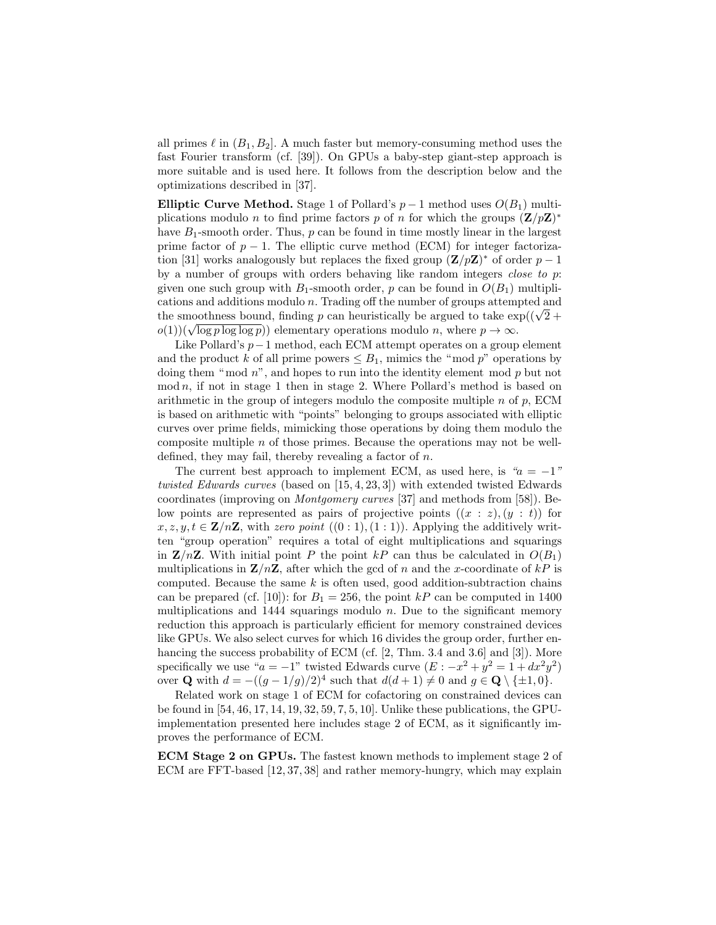all primes  $\ell$  in  $(B_1, B_2]$ . A much faster but memory-consuming method uses the fast Fourier transform (cf. [39]). On GPUs a baby-step giant-step approach is more suitable and is used here. It follows from the description below and the optimizations described in [37].

Elliptic Curve Method. Stage 1 of Pollard's  $p-1$  method uses  $O(B_1)$  multiplications modulo *n* to find prime factors *p* of *n* for which the groups  $(\mathbf{Z}/p\mathbf{Z})^*$ have  $B_1$ -smooth order. Thus,  $p$  can be found in time mostly linear in the largest prime factor of  $p-1$ . The elliptic curve method (ECM) for integer factorization [31] works analogously but replaces the fixed group  $(\mathbf{Z}/p\mathbf{Z})^*$  of order  $p-1$ by a number of groups with orders behaving like random integers close to p: given one such group with  $B_1$ -smooth order, p can be found in  $O(B_1)$  multiplications and additions modulo n. Trading off the number of groups attempted and cations and additions modulo n. Trading off the number of groups attempted and the smoothness bound, finding p can heuristically be argued to take  $\exp((\sqrt{2} +$ the smoothness bound, inding p can heuristically be argued to take ex<br> $o(1)(\sqrt{\log p \log \log p})$  elementary operations modulo n, where  $p \to \infty$ .

Like Pollard's  $p-1$  method, each ECM attempt operates on a group element and the product k of all prime powers  $\leq B_1$ , mimics the "mod p" operations by doing them " mod  $n$ ", and hopes to run into the identity element mod  $p$  but not  $mod n$ , if not in stage 1 then in stage 2. Where Pollard's method is based on arithmetic in the group of integers modulo the composite multiple  $n$  of  $p$ , ECM is based on arithmetic with "points" belonging to groups associated with elliptic curves over prime fields, mimicking those operations by doing them modulo the composite multiple  $n$  of those primes. Because the operations may not be welldefined, they may fail, thereby revealing a factor of  $n$ .

The current best approach to implement ECM, as used here, is " $a = -1$ " twisted Edwards curves (based on [15, 4, 23, 3]) with extended twisted Edwards coordinates (improving on Montgomery curves [37] and methods from [58]). Below points are represented as pairs of projective points  $((x : z), (y : t))$  for  $x, z, y, t \in \mathbf{Z}/n\mathbf{Z}$ , with zero point  $((0:1), (1:1))$ . Applying the additively written "group operation" requires a total of eight multiplications and squarings in  $\mathbb{Z}/n\mathbb{Z}$ . With initial point P the point kP can thus be calculated in  $O(B_1)$ multiplications in  $\mathbf{Z}/n\mathbf{Z}$ , after which the gcd of n and the x-coordinate of kP is computed. Because the same  $k$  is often used, good addition-subtraction chains can be prepared (cf. [10]): for  $B_1 = 256$ , the point kP can be computed in 1400 multiplications and  $1444$  squarings modulo n. Due to the significant memory reduction this approach is particularly efficient for memory constrained devices like GPUs. We also select curves for which 16 divides the group order, further enhancing the success probability of ECM (cf. [2, Thm. 3.4 and 3.6] and [3]). More specifically we use " $a = -1$ " twisted Edwards curve  $(E: -x^2 + y^2 = 1 + dx^2y^2)$ over **Q** with  $d = -((g - 1/g)/2)^4$  such that  $d(d+1) \neq 0$  and  $g \in \mathbf{Q} \setminus \{\pm 1, 0\}.$ 

Related work on stage 1 of ECM for cofactoring on constrained devices can be found in [54, 46, 17, 14, 19, 32, 59, 7, 5, 10]. Unlike these publications, the GPUimplementation presented here includes stage 2 of ECM, as it significantly improves the performance of ECM.

ECM Stage 2 on GPUs. The fastest known methods to implement stage 2 of ECM are FFT-based [12, 37, 38] and rather memory-hungry, which may explain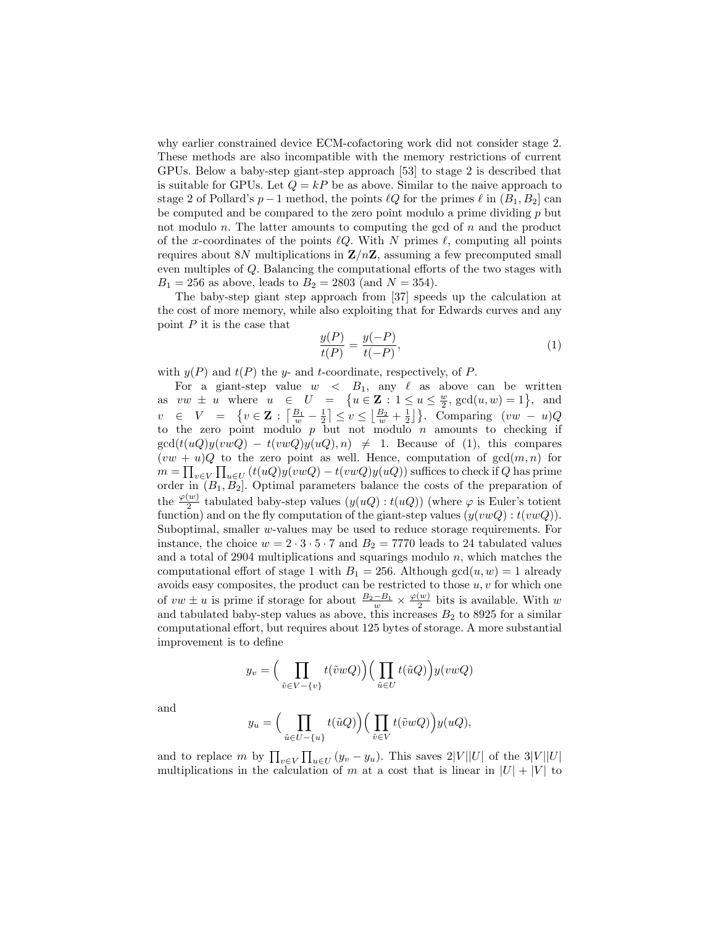why earlier constrained device ECM-cofactoring work did not consider stage 2. These methods are also incompatible with the memory restrictions of current GPUs. Below a baby-step giant-step approach [53] to stage 2 is described that is suitable for GPUs. Let  $Q = kP$  be as above. Similar to the naive approach to stage 2 of Pollard's  $p-1$  method, the points  $\ell Q$  for the primes  $\ell$  in  $(B_1, B_2]$  can be computed and be compared to the zero point modulo a prime dividing  $p$  but not modulo n. The latter amounts to computing the gcd of n and the product of the x-coordinates of the points  $\ell Q$ . With N primes  $\ell$ , computing all points requires about 8N multiplications in  $\mathbf{Z}/n\mathbf{Z}$ , assuming a few precomputed small even multiples of Q. Balancing the computational efforts of the two stages with  $B_1 = 256$  as above, leads to  $B_2 = 2803$  (and  $N = 354$ ).

The baby-step giant step approach from [37] speeds up the calculation at the cost of more memory, while also exploiting that for Edwards curves and any point  $P$  it is the case that

$$
\frac{y(P)}{t(P)} = \frac{y(-P)}{t(-P)},
$$
\n(1)

with  $y(P)$  and  $t(P)$  the y- and t-coordinate, respectively, of P.

For a giant-step value  $w < B_1$ , any  $\ell$  as above can be written as  $vw \pm u$  where  $u \in U = \{u \in \mathbb{Z} : 1 \le u \le \frac{w}{2}, \gcd(u, w) = 1\},\$ and  $v \in V = \{v \in \mathbf{Z} : \left\lceil \frac{B_1}{w} - \frac{1}{2} \right\rceil \leq v \leq \left\lfloor \frac{B_2}{w} + \frac{1}{2} \right\rfloor \}.$  Comparing  $(vw - u)Q$ to the zero point modulo  $p$  but not modulo  $n$  amounts to checking if  $\gcd(t(uQ)y(vwQ) - t(vwQ)y(uQ), n) \neq 1$ . Because of (1), this compares  $(vw + u)Q$  to the zero point as well. Hence, computation of  $gcd(m, n)$  for  $m = \prod_{v \in V} \prod_{u \in U} (t(uQ)y(vwQ) - t(vwQ)y(uQ))$  suffices to check if  $Q$  has prime order in  $(B_1, B_2]$ . Optimal parameters balance the costs of the preparation of the  $\frac{\varphi(w)}{2}$  tabulated baby-step values  $(y(uQ) : t(uQ))$  (where  $\varphi$  is Euler's totient function) and on the fly computation of the giant-step values  $(y(vwQ) : t(vwQ))$ . Suboptimal, smaller w-values may be used to reduce storage requirements. For instance, the choice  $w = 2 \cdot 3 \cdot 5 \cdot 7$  and  $B_2 = 7770$  leads to 24 tabulated values and a total of 2904 multiplications and squarings modulo  $n$ , which matches the computational effort of stage 1 with  $B_1 = 256$ . Although  $gcd(u, w) = 1$  already avoids easy composites, the product can be restricted to those  $u, v$  for which one of  $vw \pm u$  is prime if storage for about  $\frac{B_2 - B_1}{w} \times \frac{\varphi(w)}{2}$  $\frac{w}{2}$  bits is available. With w and tabulated baby-step values as above, this increases  $B_2$  to 8925 for a similar computational effort, but requires about 125 bytes of storage. A more substantial improvement is to define

$$
y_v = \Big(\prod_{\tilde{v} \in V - \{v\}} t(\tilde{v}wQ)\Big) \Big(\prod_{\tilde{u} \in U} t(\tilde{u}Q)\Big) y(vwQ)
$$

and

$$
y_u = \Big(\prod_{\tilde{u} \in U - \{u\}} t(\tilde{u}Q)\Big) \Big(\prod_{\tilde{v} \in V} t(\tilde{v}wQ)\Big) y(uQ),
$$

and to replace m by  $\prod_{v \in V} \prod_{u \in U} (y_v - y_u)$ . This saves  $2|V||U|$  of the  $3|V||U|$ multiplications in the calculation of m at a cost that is linear in  $|U| + |V|$  to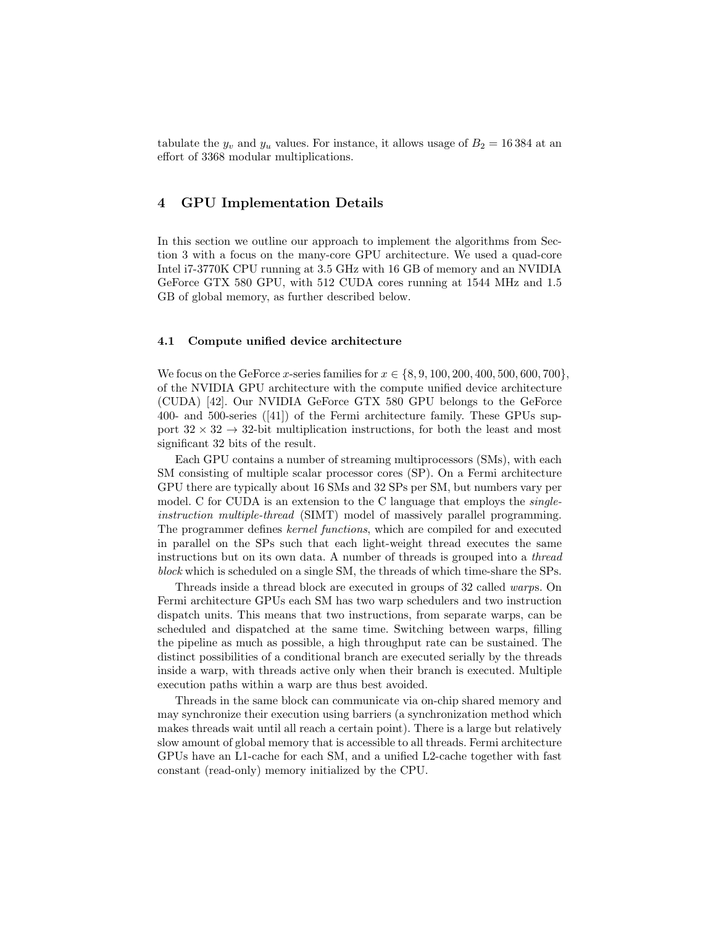tabulate the  $y_v$  and  $y_u$  values. For instance, it allows usage of  $B_2 = 16384$  at an effort of 3368 modular multiplications.

### 4 GPU Implementation Details

In this section we outline our approach to implement the algorithms from Section 3 with a focus on the many-core GPU architecture. We used a quad-core Intel i7-3770K CPU running at 3.5 GHz with 16 GB of memory and an NVIDIA GeForce GTX 580 GPU, with 512 CUDA cores running at 1544 MHz and 1.5 GB of global memory, as further described below.

### 4.1 Compute unified device architecture

We focus on the GeForce x-series families for  $x \in \{8, 9, 100, 200, 400, 500, 600, 700\}$ , of the NVIDIA GPU architecture with the compute unified device architecture (CUDA) [42]. Our NVIDIA GeForce GTX 580 GPU belongs to the GeForce 400- and 500-series ([41]) of the Fermi architecture family. These GPUs support  $32 \times 32 \rightarrow 32$ -bit multiplication instructions, for both the least and most significant 32 bits of the result.

Each GPU contains a number of streaming multiprocessors (SMs), with each SM consisting of multiple scalar processor cores (SP). On a Fermi architecture GPU there are typically about 16 SMs and 32 SPs per SM, but numbers vary per model. C for CUDA is an extension to the C language that employs the *single*instruction multiple-thread (SIMT) model of massively parallel programming. The programmer defines kernel functions, which are compiled for and executed in parallel on the SPs such that each light-weight thread executes the same instructions but on its own data. A number of threads is grouped into a thread block which is scheduled on a single SM, the threads of which time-share the SPs.

Threads inside a thread block are executed in groups of 32 called warps. On Fermi architecture GPUs each SM has two warp schedulers and two instruction dispatch units. This means that two instructions, from separate warps, can be scheduled and dispatched at the same time. Switching between warps, filling the pipeline as much as possible, a high throughput rate can be sustained. The distinct possibilities of a conditional branch are executed serially by the threads inside a warp, with threads active only when their branch is executed. Multiple execution paths within a warp are thus best avoided.

Threads in the same block can communicate via on-chip shared memory and may synchronize their execution using barriers (a synchronization method which makes threads wait until all reach a certain point). There is a large but relatively slow amount of global memory that is accessible to all threads. Fermi architecture GPUs have an L1-cache for each SM, and a unified L2-cache together with fast constant (read-only) memory initialized by the CPU.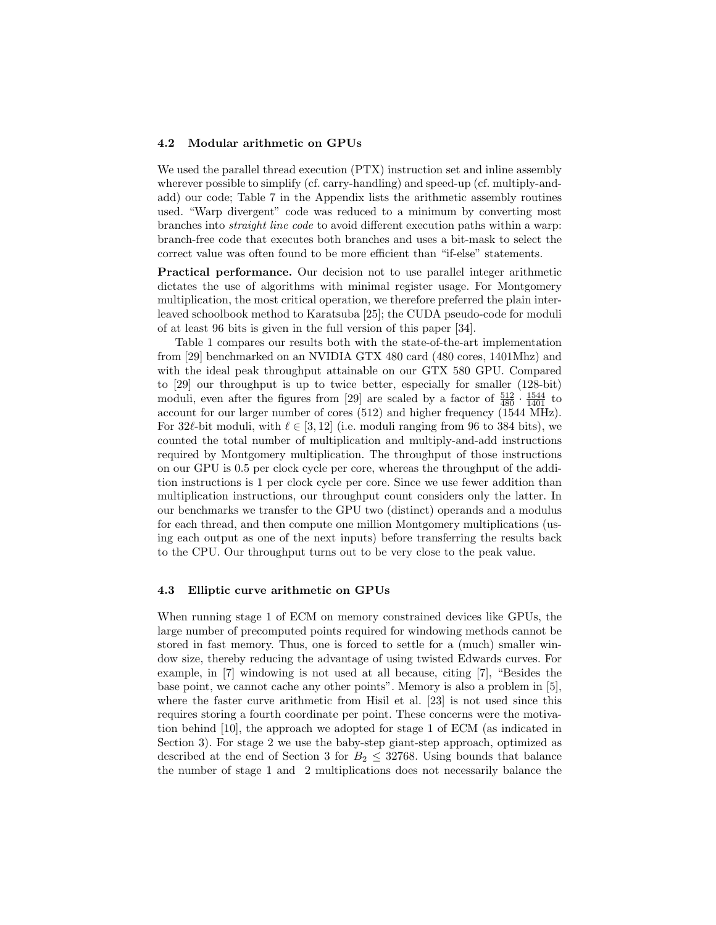### 4.2 Modular arithmetic on GPUs

We used the parallel thread execution (PTX) instruction set and inline assembly wherever possible to simplify (cf. carry-handling) and speed-up (cf. multiply-andadd) our code; Table 7 in the Appendix lists the arithmetic assembly routines used. "Warp divergent" code was reduced to a minimum by converting most branches into straight line code to avoid different execution paths within a warp: branch-free code that executes both branches and uses a bit-mask to select the correct value was often found to be more efficient than "if-else" statements.

Practical performance. Our decision not to use parallel integer arithmetic dictates the use of algorithms with minimal register usage. For Montgomery multiplication, the most critical operation, we therefore preferred the plain interleaved schoolbook method to Karatsuba [25]; the CUDA pseudo-code for moduli of at least 96 bits is given in the full version of this paper [34].

Table 1 compares our results both with the state-of-the-art implementation from [29] benchmarked on an NVIDIA GTX 480 card (480 cores, 1401Mhz) and with the ideal peak throughput attainable on our GTX 580 GPU. Compared to [29] our throughput is up to twice better, especially for smaller (128-bit) moduli, even after the figures from [29] are scaled by a factor of  $\frac{512}{480} \cdot \frac{1544}{1401}$  to account for our larger number of cores (512) and higher frequency  $(1544 \text{ MHz})$ . For 32 $\ell$ -bit moduli, with  $\ell \in [3, 12]$  (i.e. moduli ranging from 96 to 384 bits), we counted the total number of multiplication and multiply-and-add instructions required by Montgomery multiplication. The throughput of those instructions on our GPU is 0.5 per clock cycle per core, whereas the throughput of the addition instructions is 1 per clock cycle per core. Since we use fewer addition than multiplication instructions, our throughput count considers only the latter. In our benchmarks we transfer to the GPU two (distinct) operands and a modulus for each thread, and then compute one million Montgomery multiplications (using each output as one of the next inputs) before transferring the results back to the CPU. Our throughput turns out to be very close to the peak value.

### 4.3 Elliptic curve arithmetic on GPUs

When running stage 1 of ECM on memory constrained devices like GPUs, the large number of precomputed points required for windowing methods cannot be stored in fast memory. Thus, one is forced to settle for a (much) smaller window size, thereby reducing the advantage of using twisted Edwards curves. For example, in [7] windowing is not used at all because, citing [7], "Besides the base point, we cannot cache any other points". Memory is also a problem in [5], where the faster curve arithmetic from Hisil et al. [23] is not used since this requires storing a fourth coordinate per point. These concerns were the motivation behind [10], the approach we adopted for stage 1 of ECM (as indicated in Section 3). For stage 2 we use the baby-step giant-step approach, optimized as described at the end of Section 3 for  $B_2 \leq 32768$ . Using bounds that balance the number of stage 1 and 2 multiplications does not necessarily balance the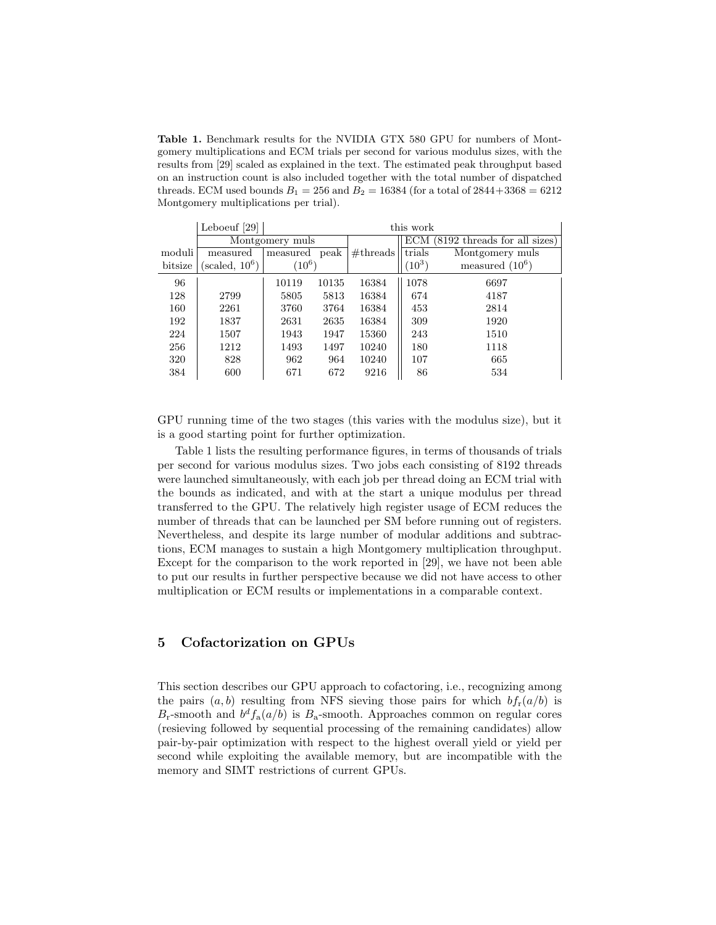Table 1. Benchmark results for the NVIDIA GTX 580 GPU for numbers of Montgomery multiplications and ECM trials per second for various modulus sizes, with the results from [29] scaled as explained in the text. The estimated peak throughput based on an instruction count is also included together with the total number of dispatched threads. ECM used bounds  $B_1 = 256$  and  $B_2 = 16384$  (for a total of 2844+3368 = 6212) Montgomery multiplications per trial).

|         | Leboeuf $[29]$   | this work         |       |              |          |                                  |  |
|---------|------------------|-------------------|-------|--------------|----------|----------------------------------|--|
|         |                  | Montgomery muls   |       |              |          | ECM (8192 threads for all sizes) |  |
| moduli  | measured         | measured          | peak  | $\#$ threads | trials   | Montgomery muls                  |  |
| bitsize | scaled, $10^6$ ) | $^{\prime}10^{6}$ |       |              | $(10^3)$ | measured $(10^6)$                |  |
| 96      |                  | 10119             | 10135 | 16384        | 1078     | 6697                             |  |
| 128     | 2799             | 5805              | 5813  | 16384        | 674      | 4187                             |  |
| 160     | 2261             | 3760              | 3764  | 16384        | 453      | 2814                             |  |
| 192     | 1837             | 2631              | 2635  | 16384        | 309      | 1920                             |  |
| 224     | 1507             | 1943              | 1947  | 15360        | 243      | 1510                             |  |
| 256     | 1212             | 1493              | 1497  | 10240        | 180      | 1118                             |  |
| 320     | 828              | 962               | 964   | 10240        | 107      | 665                              |  |
| 384     | 600              | 671               | 672   | 9216         | 86       | 534                              |  |

GPU running time of the two stages (this varies with the modulus size), but it is a good starting point for further optimization.

Table 1 lists the resulting performance figures, in terms of thousands of trials per second for various modulus sizes. Two jobs each consisting of 8192 threads were launched simultaneously, with each job per thread doing an ECM trial with the bounds as indicated, and with at the start a unique modulus per thread transferred to the GPU. The relatively high register usage of ECM reduces the number of threads that can be launched per SM before running out of registers. Nevertheless, and despite its large number of modular additions and subtractions, ECM manages to sustain a high Montgomery multiplication throughput. Except for the comparison to the work reported in [29], we have not been able to put our results in further perspective because we did not have access to other multiplication or ECM results or implementations in a comparable context.

## 5 Cofactorization on GPUs

This section describes our GPU approach to cofactoring, i.e., recognizing among the pairs  $(a, b)$  resulting from NFS sieving those pairs for which  $bf_f(a/b)$  is  $B_r$ -smooth and  $b^d f_a(a/b)$  is  $B_a$ -smooth. Approaches common on regular cores (resieving followed by sequential processing of the remaining candidates) allow pair-by-pair optimization with respect to the highest overall yield or yield per second while exploiting the available memory, but are incompatible with the memory and SIMT restrictions of current GPUs.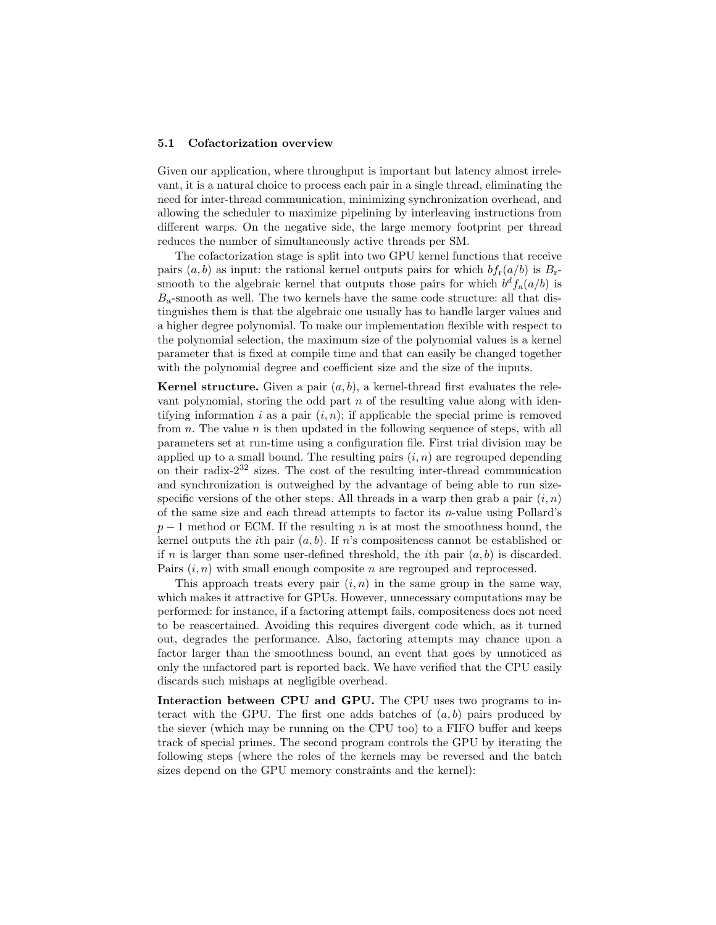### 5.1 Cofactorization overview

Given our application, where throughput is important but latency almost irrelevant, it is a natural choice to process each pair in a single thread, eliminating the need for inter-thread communication, minimizing synchronization overhead, and allowing the scheduler to maximize pipelining by interleaving instructions from different warps. On the negative side, the large memory footprint per thread reduces the number of simultaneously active threads per SM.

The cofactorization stage is split into two GPU kernel functions that receive pairs  $(a, b)$  as input: the rational kernel outputs pairs for which  $bf_r(a/b)$  is  $B_r$ smooth to the algebraic kernel that outputs those pairs for which  $b^d f_a(a/b)$  is  $B<sub>a</sub>$ -smooth as well. The two kernels have the same code structure: all that distinguishes them is that the algebraic one usually has to handle larger values and a higher degree polynomial. To make our implementation flexible with respect to the polynomial selection, the maximum size of the polynomial values is a kernel parameter that is fixed at compile time and that can easily be changed together with the polynomial degree and coefficient size and the size of the inputs.

Kernel structure. Given a pair  $(a, b)$ , a kernel-thread first evaluates the relevant polynomial, storing the odd part  $n$  of the resulting value along with identifying information i as a pair  $(i, n)$ ; if applicable the special prime is removed from  $n$ . The value  $n$  is then updated in the following sequence of steps, with all parameters set at run-time using a configuration file. First trial division may be applied up to a small bound. The resulting pairs  $(i, n)$  are regrouped depending on their radix-2<sup>32</sup> sizes. The cost of the resulting inter-thread communication and synchronization is outweighed by the advantage of being able to run sizespecific versions of the other steps. All threads in a warp then grab a pair  $(i, n)$ of the same size and each thread attempts to factor its  $n$ -value using Pollard's  $p-1$  method or ECM. If the resulting n is at most the smoothness bound, the kernel outputs the *i*th pair  $(a, b)$ . If *n*'s compositeness cannot be established or if n is larger than some user-defined threshold, the *i*th pair  $(a, b)$  is discarded. Pairs  $(i, n)$  with small enough composite n are regrouped and reprocessed.

This approach treats every pair  $(i, n)$  in the same group in the same way, which makes it attractive for GPUs. However, unnecessary computations may be performed: for instance, if a factoring attempt fails, compositeness does not need to be reascertained. Avoiding this requires divergent code which, as it turned out, degrades the performance. Also, factoring attempts may chance upon a factor larger than the smoothness bound, an event that goes by unnoticed as only the unfactored part is reported back. We have verified that the CPU easily discards such mishaps at negligible overhead.

Interaction between CPU and GPU. The CPU uses two programs to interact with the GPU. The first one adds batches of  $(a, b)$  pairs produced by the siever (which may be running on the CPU too) to a FIFO buffer and keeps track of special primes. The second program controls the GPU by iterating the following steps (where the roles of the kernels may be reversed and the batch sizes depend on the GPU memory constraints and the kernel):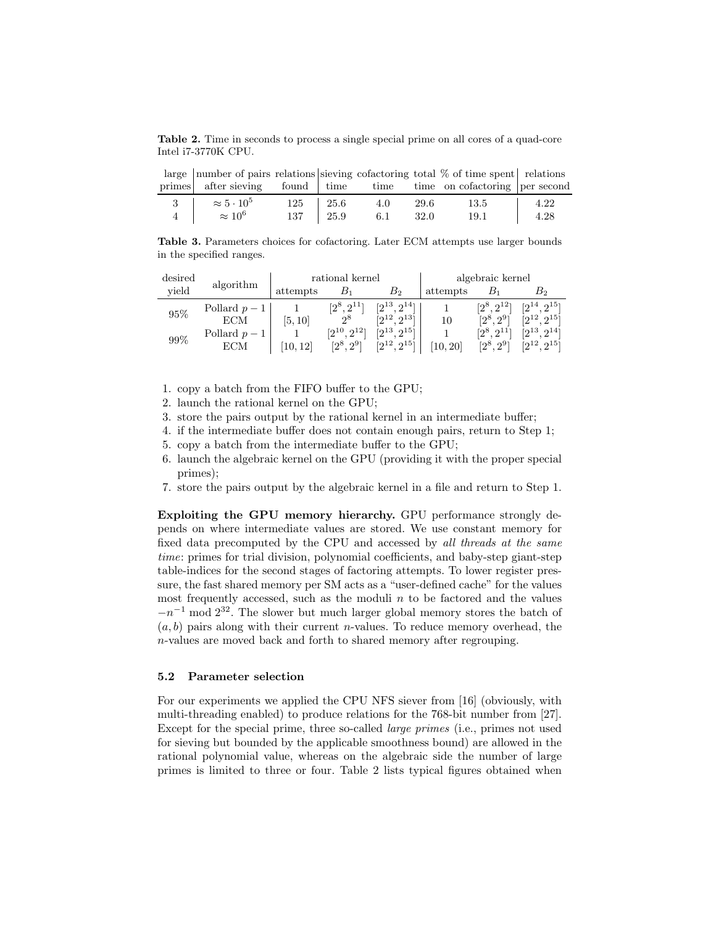Table 2. Time in seconds to process a single special prime on all cores of a quad-core Intel i7-3770K CPU.

|          | large   number of pairs relations sieving cofactoring total $\%$ of time spent   relations |                          |                  |     |      |                                     |      |
|----------|--------------------------------------------------------------------------------------------|--------------------------|------------------|-----|------|-------------------------------------|------|
|          | primes after sieving found time                                                            |                          |                  |     |      | time time on cofactoring per second |      |
| $\sim$ 3 | $\approx 5 \cdot 10^5$                                                                     |                          | $125 \quad 25.6$ | 4.0 | 29.6 | 13.5                                | 4.22 |
| 4        | $\approx 10^6$                                                                             | $137 \quad   \quad 25.9$ |                  | 6.1 | 32.0 | 19.1                                | 4.28 |

Table 3. Parameters choices for cofactoring. Later ECM attempts use larger bounds in the specified ranges.

| desired    | algorithm                                           | rational kernel     |                                                                         |                                                                                    | algebraic kernel |                                                                     |                                                                                      |
|------------|-----------------------------------------------------|---------------------|-------------------------------------------------------------------------|------------------------------------------------------------------------------------|------------------|---------------------------------------------------------------------|--------------------------------------------------------------------------------------|
| vield      |                                                     | attempts            |                                                                         | B <sub>2</sub>                                                                     | attempts         |                                                                     | B <sub>2</sub>                                                                       |
| 95%<br>99% | Pollard $p-1$<br><b>ECM</b><br>Pollard $p-1$<br>ECM | [5, 10]<br>[10, 12] | $[2^8, 2^{11}]$<br>$\mathcal{D}^8$<br>$[2^{10} 2^{12}]$<br>$[2^8, 2^9]$ | $[2^{13}$ $2^{14}]$<br>$12 \t 2^{13}$<br>$[2^{13}$ $2^{15}]$<br>$[2^{12}, 2^{15}]$ | 10<br>[10, 20]   | $[2^8, 2^{12}]$<br>$[2^8 \t2^9]$<br>$[2^8, 2^{11}]$<br>$[2^8, 2^9]$ | $[2^{14}, 2^{15}]$<br>$[2^{12}, 2^{15}]$<br>$[2^{13}, 2^{14}]$<br>$[2^{12}, 2^{15}]$ |

- 1. copy a batch from the FIFO buffer to the GPU;
- 2. launch the rational kernel on the GPU;
- 3. store the pairs output by the rational kernel in an intermediate buffer;
- 4. if the intermediate buffer does not contain enough pairs, return to Step 1;
- 5. copy a batch from the intermediate buffer to the GPU;
- 6. launch the algebraic kernel on the GPU (providing it with the proper special primes);
- 7. store the pairs output by the algebraic kernel in a file and return to Step 1.

Exploiting the GPU memory hierarchy. GPU performance strongly depends on where intermediate values are stored. We use constant memory for fixed data precomputed by the CPU and accessed by all threads at the same time: primes for trial division, polynomial coefficients, and baby-step giant-step table-indices for the second stages of factoring attempts. To lower register pressure, the fast shared memory per SM acts as a "user-defined cache" for the values most frequently accessed, such as the moduli  $n$  to be factored and the values  $-n^{-1}$  mod  $2^{32}$ . The slower but much larger global memory stores the batch of  $(a, b)$  pairs along with their current *n*-values. To reduce memory overhead, the n-values are moved back and forth to shared memory after regrouping.

#### 5.2 Parameter selection

For our experiments we applied the CPU NFS siever from [16] (obviously, with multi-threading enabled) to produce relations for the 768-bit number from [27]. Except for the special prime, three so-called large primes (i.e., primes not used for sieving but bounded by the applicable smoothness bound) are allowed in the rational polynomial value, whereas on the algebraic side the number of large primes is limited to three or four. Table 2 lists typical figures obtained when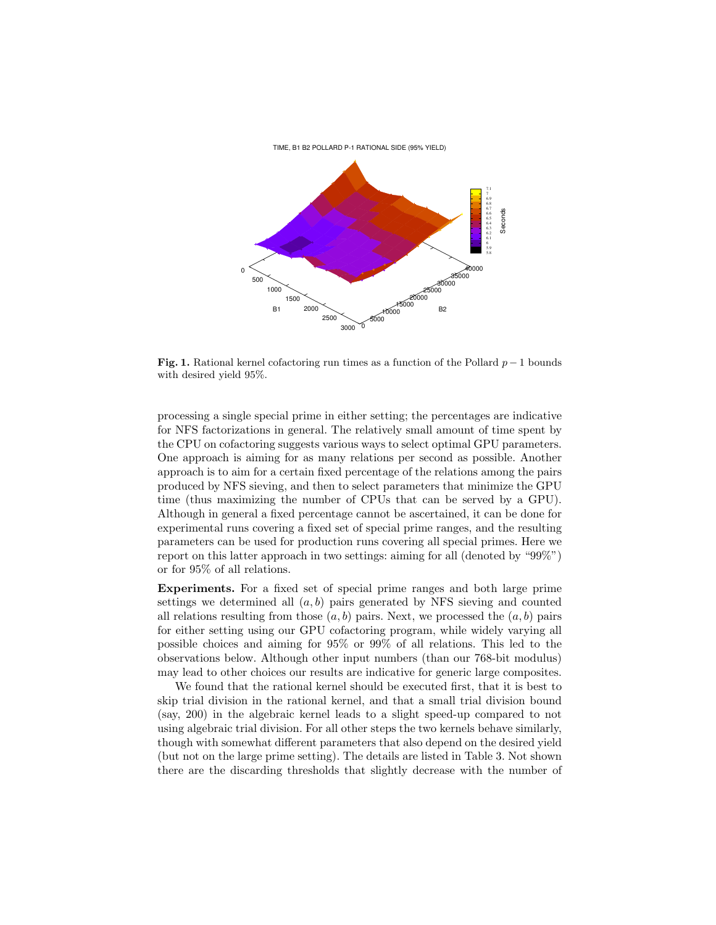

Fig. 1. Rational kernel cofactoring run times as a function of the Pollard  $p-1$  bounds with desired yield 95%.

processing a single special prime in either setting; the percentages are indicative for NFS factorizations in general. The relatively small amount of time spent by the CPU on cofactoring suggests various ways to select optimal GPU parameters. One approach is aiming for as many relations per second as possible. Another approach is to aim for a certain fixed percentage of the relations among the pairs produced by NFS sieving, and then to select parameters that minimize the GPU time (thus maximizing the number of CPUs that can be served by a GPU). Although in general a fixed percentage cannot be ascertained, it can be done for experimental runs covering a fixed set of special prime ranges, and the resulting parameters can be used for production runs covering all special primes. Here we report on this latter approach in two settings: aiming for all (denoted by "99%") or for 95% of all relations.

Experiments. For a fixed set of special prime ranges and both large prime settings we determined all  $(a, b)$  pairs generated by NFS sieving and counted all relations resulting from those  $(a, b)$  pairs. Next, we processed the  $(a, b)$  pairs for either setting using our GPU cofactoring program, while widely varying all possible choices and aiming for 95% or 99% of all relations. This led to the observations below. Although other input numbers (than our 768-bit modulus) may lead to other choices our results are indicative for generic large composites.

We found that the rational kernel should be executed first, that it is best to skip trial division in the rational kernel, and that a small trial division bound (say, 200) in the algebraic kernel leads to a slight speed-up compared to not using algebraic trial division. For all other steps the two kernels behave similarly, though with somewhat different parameters that also depend on the desired yield (but not on the large prime setting). The details are listed in Table 3. Not shown there are the discarding thresholds that slightly decrease with the number of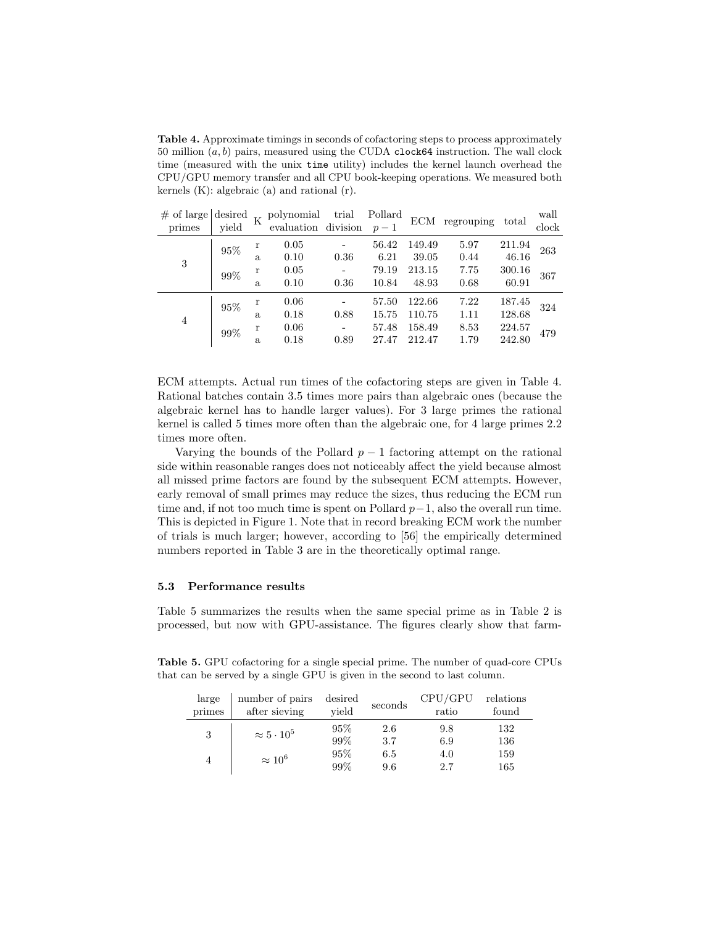Table 4. Approximate timings in seconds of cofactoring steps to process approximately 50 million  $(a, b)$  pairs, measured using the CUDA clock64 instruction. The wall clock time (measured with the unix time utility) includes the kernel launch overhead the CPU/GPU memory transfer and all CPU book-keeping operations. We measured both kernels (K): algebraic (a) and rational (r).

| $#$ of large $ $ | desired |   | polynomial trial Pollard  |      |       |        | ECM regrouping | $_{\rm total}$ | wall  |
|------------------|---------|---|---------------------------|------|-------|--------|----------------|----------------|-------|
| primes           | yield   |   | evaluation division $p-1$ |      |       |        |                |                | clock |
|                  |         | r | 0.05                      |      | 56.42 | 149.49 | 5.97           | 211.94         | 263   |
| 3                | 95%     | a | 0.10                      | 0.36 | 6.21  | 39.05  | 0.44           | 46.16          |       |
|                  | 99%     | r | 0.05                      |      | 79.19 | 213.15 | 7.75           | 300.16         | 367   |
|                  |         | a | 0.10                      | 0.36 | 10.84 | 48.93  | 0.68           | 60.91          |       |
|                  | $95\%$  | r | 0.06                      |      | 57.50 | 122.66 | 7.22           | 187.45         | 324   |
| $\overline{4}$   |         | a | 0.18                      | 0.88 | 15.75 | 110.75 | 1.11           | 128.68         |       |
|                  | 99%     | r | 0.06                      |      | 57.48 | 158.49 | 8.53           | 224.57         | 479   |
|                  |         | a | 0.18                      | 0.89 | 27.47 | 212.47 | 1.79           | 242.80         |       |

ECM attempts. Actual run times of the cofactoring steps are given in Table 4. Rational batches contain 3.5 times more pairs than algebraic ones (because the algebraic kernel has to handle larger values). For 3 large primes the rational kernel is called 5 times more often than the algebraic one, for 4 large primes 2.2 times more often.

Varying the bounds of the Pollard  $p-1$  factoring attempt on the rational side within reasonable ranges does not noticeably affect the yield because almost all missed prime factors are found by the subsequent ECM attempts. However, early removal of small primes may reduce the sizes, thus reducing the ECM run time and, if not too much time is spent on Pollard  $p-1$ , also the overall run time. This is depicted in Figure 1. Note that in record breaking ECM work the number of trials is much larger; however, according to [56] the empirically determined numbers reported in Table 3 are in the theoretically optimal range.

### 5.3 Performance results

Table 5 summarizes the results when the same special prime as in Table 2 is processed, but now with GPU-assistance. The figures clearly show that farm-

Table 5. GPU cofactoring for a single special prime. The number of quad-core CPUs that can be served by a single GPU is given in the second to last column.

| large<br>primes | number of pairs<br>after sieving | desired<br>vield | seconds    | CPU/GPU<br>ratio | relations<br>found |
|-----------------|----------------------------------|------------------|------------|------------------|--------------------|
| 3               | $\approx 5 \cdot 10^5$           | 95%<br>99%       | 2.6<br>3.7 | 9.8<br>6.9       | 132<br>136         |
| $\overline{4}$  | $\approx 10^6$                   | 95%<br>99%       | 6.5<br>9.6 | 4.0<br>2.7       | 159<br>165         |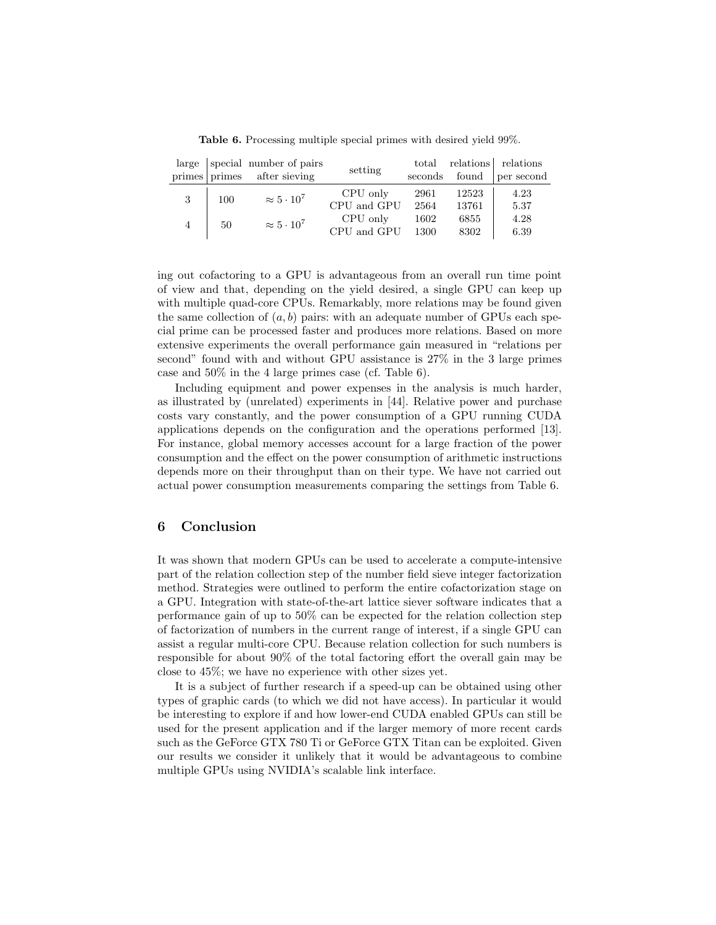Table 6. Processing multiple special primes with desired yield 99%.

|   | primes primes | $\lvert \text{large} \rvert$ special number of pairs<br>after sieving | setting                 | total<br>seconds | found          | relations relations<br>per second |
|---|---------------|-----------------------------------------------------------------------|-------------------------|------------------|----------------|-----------------------------------|
| 3 | 100           | $\approx 5\cdot 10^7$                                                 | CPU only<br>CPU and GPU | 2961<br>2564     | 12523<br>13761 | 4.23<br>5.37                      |
| 4 | 50            | $\approx 5 \cdot 10^7$                                                | CPU only<br>CPU and GPU | 1602<br>1300     | 6855<br>8302   | 4.28<br>6.39                      |

ing out cofactoring to a GPU is advantageous from an overall run time point of view and that, depending on the yield desired, a single GPU can keep up with multiple quad-core CPUs. Remarkably, more relations may be found given the same collection of  $(a, b)$  pairs: with an adequate number of GPUs each special prime can be processed faster and produces more relations. Based on more extensive experiments the overall performance gain measured in "relations per second" found with and without GPU assistance is 27% in the 3 large primes case and 50% in the 4 large primes case (cf. Table 6).

Including equipment and power expenses in the analysis is much harder, as illustrated by (unrelated) experiments in [44]. Relative power and purchase costs vary constantly, and the power consumption of a GPU running CUDA applications depends on the configuration and the operations performed [13]. For instance, global memory accesses account for a large fraction of the power consumption and the effect on the power consumption of arithmetic instructions depends more on their throughput than on their type. We have not carried out actual power consumption measurements comparing the settings from Table 6.

## 6 Conclusion

It was shown that modern GPUs can be used to accelerate a compute-intensive part of the relation collection step of the number field sieve integer factorization method. Strategies were outlined to perform the entire cofactorization stage on a GPU. Integration with state-of-the-art lattice siever software indicates that a performance gain of up to 50% can be expected for the relation collection step of factorization of numbers in the current range of interest, if a single GPU can assist a regular multi-core CPU. Because relation collection for such numbers is responsible for about 90% of the total factoring effort the overall gain may be close to 45%; we have no experience with other sizes yet.

It is a subject of further research if a speed-up can be obtained using other types of graphic cards (to which we did not have access). In particular it would be interesting to explore if and how lower-end CUDA enabled GPUs can still be used for the present application and if the larger memory of more recent cards such as the GeForce GTX 780 Ti or GeForce GTX Titan can be exploited. Given our results we consider it unlikely that it would be advantageous to combine multiple GPUs using NVIDIA's scalable link interface.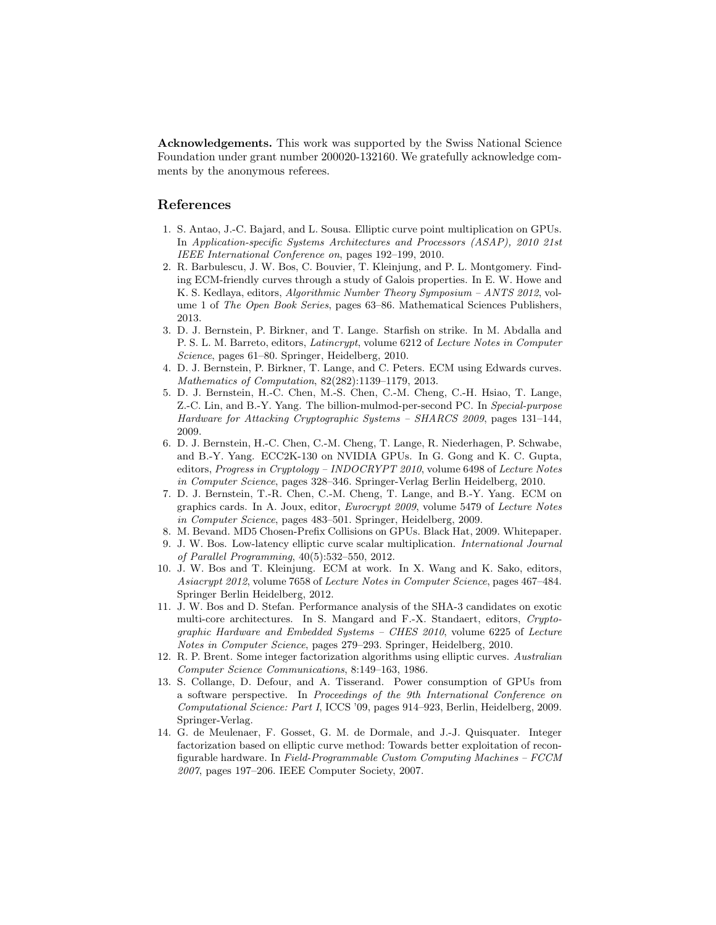Acknowledgements. This work was supported by the Swiss National Science Foundation under grant number 200020-132160. We gratefully acknowledge comments by the anonymous referees.

## References

- 1. S. Antao, J.-C. Bajard, and L. Sousa. Elliptic curve point multiplication on GPUs. In Application-specific Systems Architectures and Processors (ASAP), 2010 21st IEEE International Conference on, pages 192–199, 2010.
- 2. R. Barbulescu, J. W. Bos, C. Bouvier, T. Kleinjung, and P. L. Montgomery. Finding ECM-friendly curves through a study of Galois properties. In E. W. Howe and K. S. Kedlaya, editors, Algorithmic Number Theory Symposium – ANTS 2012, volume 1 of The Open Book Series, pages 63–86. Mathematical Sciences Publishers, 2013.
- 3. D. J. Bernstein, P. Birkner, and T. Lange. Starfish on strike. In M. Abdalla and P. S. L. M. Barreto, editors, Latincrypt, volume 6212 of Lecture Notes in Computer Science, pages 61–80. Springer, Heidelberg, 2010.
- 4. D. J. Bernstein, P. Birkner, T. Lange, and C. Peters. ECM using Edwards curves. Mathematics of Computation, 82(282):1139–1179, 2013.
- 5. D. J. Bernstein, H.-C. Chen, M.-S. Chen, C.-M. Cheng, C.-H. Hsiao, T. Lange, Z.-C. Lin, and B.-Y. Yang. The billion-mulmod-per-second PC. In Special-purpose Hardware for Attacking Cryptographic Systems – SHARCS 2009, pages 131–144, 2009.
- 6. D. J. Bernstein, H.-C. Chen, C.-M. Cheng, T. Lange, R. Niederhagen, P. Schwabe, and B.-Y. Yang. ECC2K-130 on NVIDIA GPUs. In G. Gong and K. C. Gupta, editors, Progress in Cryptology – INDOCRYPT 2010, volume 6498 of Lecture Notes in Computer Science, pages 328–346. Springer-Verlag Berlin Heidelberg, 2010.
- 7. D. J. Bernstein, T.-R. Chen, C.-M. Cheng, T. Lange, and B.-Y. Yang. ECM on graphics cards. In A. Joux, editor, Eurocrypt 2009, volume 5479 of Lecture Notes in Computer Science, pages 483–501. Springer, Heidelberg, 2009.
- 8. M. Bevand. MD5 Chosen-Prefix Collisions on GPUs. Black Hat, 2009. Whitepaper.
- 9. J. W. Bos. Low-latency elliptic curve scalar multiplication. International Journal of Parallel Programming, 40(5):532–550, 2012.
- 10. J. W. Bos and T. Kleinjung. ECM at work. In X. Wang and K. Sako, editors, Asiacrypt 2012, volume 7658 of Lecture Notes in Computer Science, pages 467–484. Springer Berlin Heidelberg, 2012.
- 11. J. W. Bos and D. Stefan. Performance analysis of the SHA-3 candidates on exotic multi-core architectures. In S. Mangard and F.-X. Standaert, editors, Cryptographic Hardware and Embedded Systems – CHES 2010, volume 6225 of Lecture Notes in Computer Science, pages 279–293. Springer, Heidelberg, 2010.
- 12. R. P. Brent. Some integer factorization algorithms using elliptic curves. Australian Computer Science Communications, 8:149–163, 1986.
- 13. S. Collange, D. Defour, and A. Tisserand. Power consumption of GPUs from a software perspective. In Proceedings of the 9th International Conference on Computational Science: Part I, ICCS '09, pages 914–923, Berlin, Heidelberg, 2009. Springer-Verlag.
- 14. G. de Meulenaer, F. Gosset, G. M. de Dormale, and J.-J. Quisquater. Integer factorization based on elliptic curve method: Towards better exploitation of reconfigurable hardware. In Field-Programmable Custom Computing Machines – FCCM 2007, pages 197–206. IEEE Computer Society, 2007.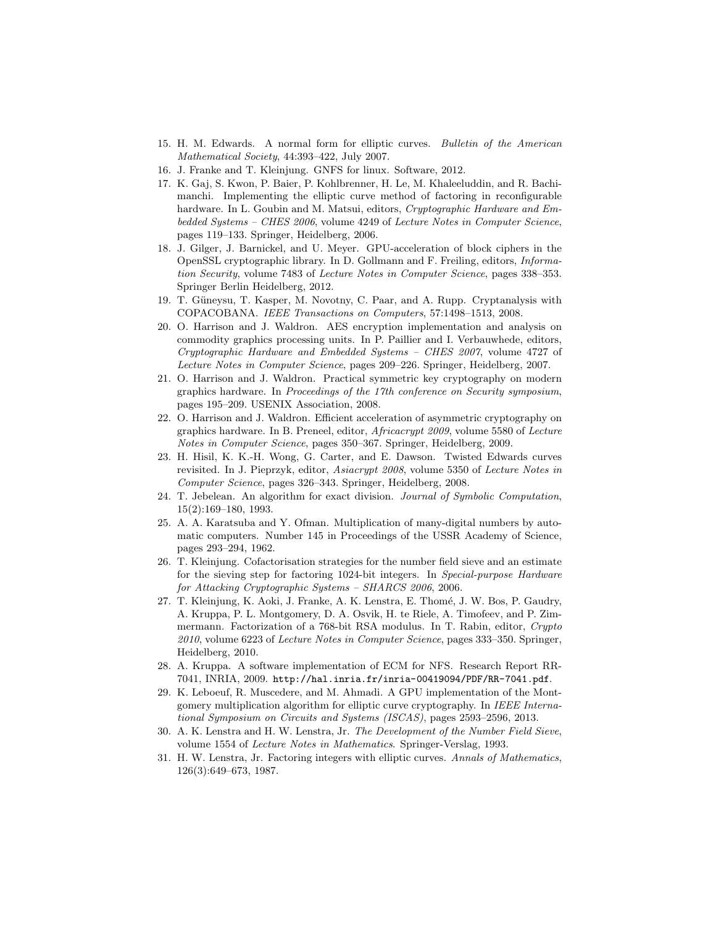- 15. H. M. Edwards. A normal form for elliptic curves. Bulletin of the American Mathematical Society, 44:393–422, July 2007.
- 16. J. Franke and T. Kleinjung. GNFS for linux. Software, 2012.
- 17. K. Gaj, S. Kwon, P. Baier, P. Kohlbrenner, H. Le, M. Khaleeluddin, and R. Bachimanchi. Implementing the elliptic curve method of factoring in reconfigurable hardware. In L. Goubin and M. Matsui, editors, Cryptographic Hardware and Embedded Systems – CHES 2006, volume 4249 of Lecture Notes in Computer Science, pages 119–133. Springer, Heidelberg, 2006.
- 18. J. Gilger, J. Barnickel, and U. Meyer. GPU-acceleration of block ciphers in the OpenSSL cryptographic library. In D. Gollmann and F. Freiling, editors, Information Security, volume 7483 of Lecture Notes in Computer Science, pages 338–353. Springer Berlin Heidelberg, 2012.
- 19. T. Güneysu, T. Kasper, M. Novotny, C. Paar, and A. Rupp. Cryptanalysis with COPACOBANA. IEEE Transactions on Computers, 57:1498–1513, 2008.
- 20. O. Harrison and J. Waldron. AES encryption implementation and analysis on commodity graphics processing units. In P. Paillier and I. Verbauwhede, editors, Cryptographic Hardware and Embedded Systems – CHES 2007, volume 4727 of Lecture Notes in Computer Science, pages 209–226. Springer, Heidelberg, 2007.
- 21. O. Harrison and J. Waldron. Practical symmetric key cryptography on modern graphics hardware. In Proceedings of the 17th conference on Security symposium, pages 195–209. USENIX Association, 2008.
- 22. O. Harrison and J. Waldron. Efficient acceleration of asymmetric cryptography on graphics hardware. In B. Preneel, editor, Africacrypt 2009, volume 5580 of Lecture Notes in Computer Science, pages 350–367. Springer, Heidelberg, 2009.
- 23. H. Hisil, K. K.-H. Wong, G. Carter, and E. Dawson. Twisted Edwards curves revisited. In J. Pieprzyk, editor, Asiacrypt 2008, volume 5350 of Lecture Notes in Computer Science, pages 326–343. Springer, Heidelberg, 2008.
- 24. T. Jebelean. An algorithm for exact division. Journal of Symbolic Computation, 15(2):169–180, 1993.
- 25. A. A. Karatsuba and Y. Ofman. Multiplication of many-digital numbers by automatic computers. Number 145 in Proceedings of the USSR Academy of Science, pages 293–294, 1962.
- 26. T. Kleinjung. Cofactorisation strategies for the number field sieve and an estimate for the sieving step for factoring 1024-bit integers. In Special-purpose Hardware for Attacking Cryptographic Systems – SHARCS 2006, 2006.
- 27. T. Kleinjung, K. Aoki, J. Franke, A. K. Lenstra, E. Thom´e, J. W. Bos, P. Gaudry, A. Kruppa, P. L. Montgomery, D. A. Osvik, H. te Riele, A. Timofeev, and P. Zimmermann. Factorization of a 768-bit RSA modulus. In T. Rabin, editor, Crypto 2010, volume 6223 of Lecture Notes in Computer Science, pages 333–350. Springer, Heidelberg, 2010.
- 28. A. Kruppa. A software implementation of ECM for NFS. Research Report RR-7041, INRIA, 2009. http://hal.inria.fr/inria-00419094/PDF/RR-7041.pdf.
- 29. K. Leboeuf, R. Muscedere, and M. Ahmadi. A GPU implementation of the Montgomery multiplication algorithm for elliptic curve cryptography. In IEEE International Symposium on Circuits and Systems (ISCAS), pages 2593–2596, 2013.
- 30. A. K. Lenstra and H. W. Lenstra, Jr. The Development of the Number Field Sieve, volume 1554 of Lecture Notes in Mathematics. Springer-Verslag, 1993.
- 31. H. W. Lenstra, Jr. Factoring integers with elliptic curves. Annals of Mathematics, 126(3):649–673, 1987.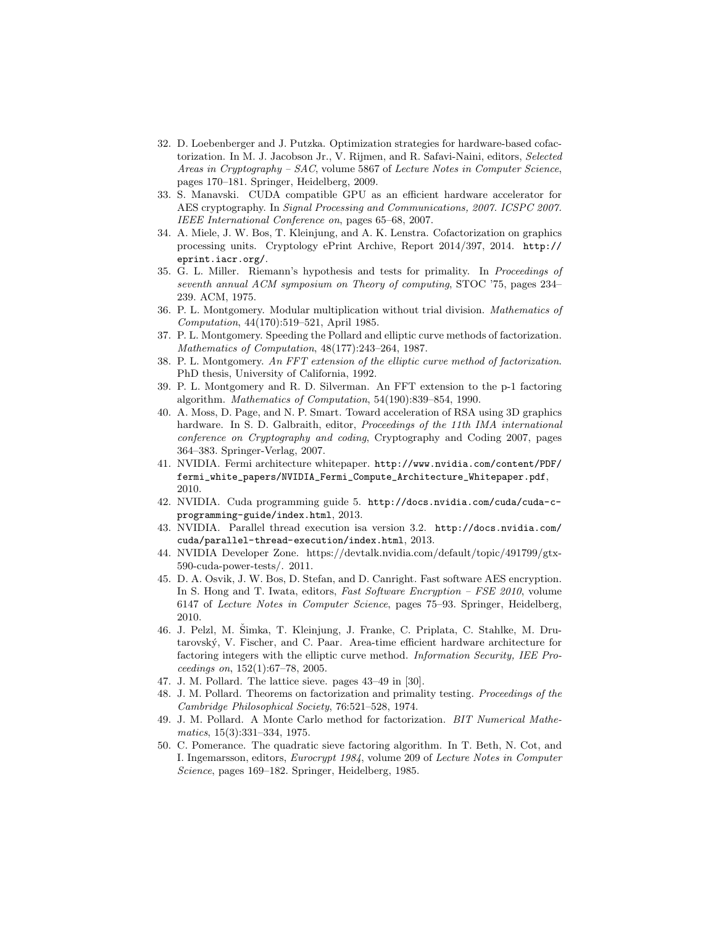- 32. D. Loebenberger and J. Putzka. Optimization strategies for hardware-based cofactorization. In M. J. Jacobson Jr., V. Rijmen, and R. Safavi-Naini, editors, Selected Areas in Cryptography – SAC, volume 5867 of Lecture Notes in Computer Science, pages 170–181. Springer, Heidelberg, 2009.
- 33. S. Manavski. CUDA compatible GPU as an efficient hardware accelerator for AES cryptography. In Signal Processing and Communications, 2007. ICSPC 2007. IEEE International Conference on, pages 65–68, 2007.
- 34. A. Miele, J. W. Bos, T. Kleinjung, and A. K. Lenstra. Cofactorization on graphics processing units. Cryptology ePrint Archive, Report 2014/397, 2014. http:// eprint.iacr.org/.
- 35. G. L. Miller. Riemann's hypothesis and tests for primality. In Proceedings of seventh annual ACM symposium on Theory of computing, STOC '75, pages 234– 239. ACM, 1975.
- 36. P. L. Montgomery. Modular multiplication without trial division. Mathematics of Computation, 44(170):519–521, April 1985.
- 37. P. L. Montgomery. Speeding the Pollard and elliptic curve methods of factorization. Mathematics of Computation, 48(177):243–264, 1987.
- 38. P. L. Montgomery. An FFT extension of the elliptic curve method of factorization. PhD thesis, University of California, 1992.
- 39. P. L. Montgomery and R. D. Silverman. An FFT extension to the p-1 factoring algorithm. Mathematics of Computation, 54(190):839–854, 1990.
- 40. A. Moss, D. Page, and N. P. Smart. Toward acceleration of RSA using 3D graphics hardware. In S. D. Galbraith, editor, *Proceedings of the 11th IMA international* conference on Cryptography and coding, Cryptography and Coding 2007, pages 364–383. Springer-Verlag, 2007.
- 41. NVIDIA. Fermi architecture whitepaper. http://www.nvidia.com/content/PDF/ fermi\_white\_papers/NVIDIA\_Fermi\_Compute\_Architecture\_Whitepaper.pdf, 2010.
- 42. NVIDIA. Cuda programming guide 5. http://docs.nvidia.com/cuda/cuda-cprogramming-guide/index.html, 2013.
- 43. NVIDIA. Parallel thread execution isa version 3.2. http://docs.nvidia.com/ cuda/parallel-thread-execution/index.html, 2013.
- 44. NVIDIA Developer Zone. https://devtalk.nvidia.com/default/topic/491799/gtx-590-cuda-power-tests/. 2011.
- 45. D. A. Osvik, J. W. Bos, D. Stefan, and D. Canright. Fast software AES encryption. In S. Hong and T. Iwata, editors, Fast Software Encryption – FSE 2010, volume 6147 of Lecture Notes in Computer Science, pages 75–93. Springer, Heidelberg, 2010.
- 46. J. Pelzl, M. Šimka, T. Kleinjung, J. Franke, C. Priplata, C. Stahlke, M. Drutarovsk´y, V. Fischer, and C. Paar. Area-time efficient hardware architecture for factoring integers with the elliptic curve method. Information Security, IEE Proceedings on, 152(1):67–78, 2005.
- 47. J. M. Pollard. The lattice sieve. pages 43–49 in [30].
- 48. J. M. Pollard. Theorems on factorization and primality testing. Proceedings of the Cambridge Philosophical Society, 76:521–528, 1974.
- 49. J. M. Pollard. A Monte Carlo method for factorization. BIT Numerical Mathematics, 15(3):331–334, 1975.
- 50. C. Pomerance. The quadratic sieve factoring algorithm. In T. Beth, N. Cot, and I. Ingemarsson, editors, Eurocrypt 1984, volume 209 of Lecture Notes in Computer Science, pages 169–182. Springer, Heidelberg, 1985.